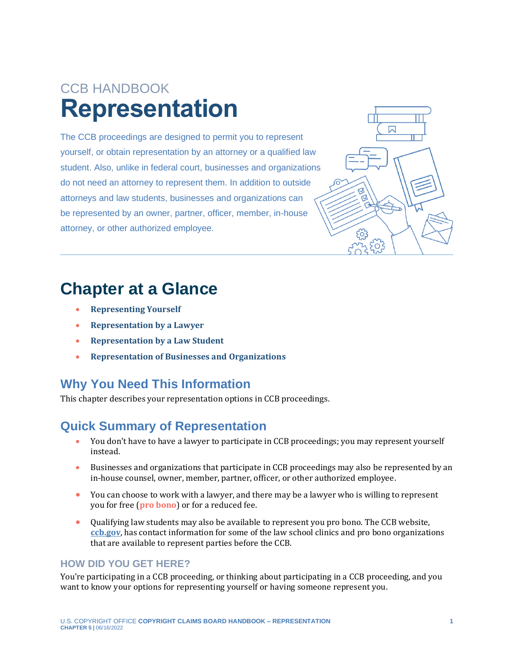# CCB HANDBOOK **Representation**

The CCB proceedings are designed to permit you to represent yourself, or obtain representation by an attorney or a qualified law student. Also, unlike in federal court, businesses and organizations do not need an attorney to represent them. In addition to outside attorneys and law students, businesses and organizations can be represented by an owner, partner, officer, member, in-house attorney, or other authorized employee.



### **Chapter at a Glance**

- **[Representing Yourself](#page-1-0)**
- **[Representation by](#page-1-1) a Lawyer**
- **[Representation by a Law Student](#page-2-0)**
- **[Representation of Businesses and Organizations](#page-3-0)**

#### **Why You Need This Information**

This chapter describes your representation options in CCB proceedings.

#### **Quick Summary of Representation**

- You don't have to have a lawyer to participate in CCB proceedings; you may represent yourself instead.
- Businesses and organizations that participate in CCB proceedings may also be represented by an in-house counsel, owner, member, partner, officer, or other authorized employee.
- <span id="page-0-0"></span>• You can choose to work with a lawyer, and there may be a lawyer who is willing to represent you for free (**[pro bono](#page-4-0)**) or for a reduced fee.
- Qualifying law students may also be available to represent you pro bono. The CCB website, **[ccb.gov](https://ccb.gov/)**, has contact information for some of the law school clinics and pro bono organizations that are available to represent parties before the CCB.

#### **HOW DID YOU GET HERE?**

You're participating in a CCB proceeding, or thinking about participating in a CCB proceeding, and you want to know your options for representing yourself or having someone represent you.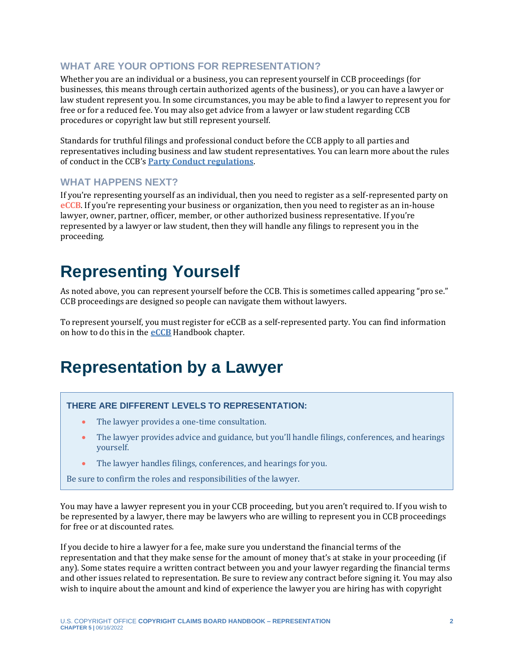#### **WHAT ARE YOUR OPTIONS FOR REPRESENTATION?**

Whether you are an individual or a business, you can represent yourself in CCB proceedings (for businesses, this means through certain authorized agents of the business), or you can have a lawyer or law student represent you. In some circumstances, you may be able to find a lawyer to represent you for free or for a reduced fee. You may also get advice from a lawyer or law student regarding CCB procedures or copyright law but still represent yourself.

Standards for truthful filings and professional conduct before the CCB apply to all parties and representatives including business and law student representatives. You can learn more about the rules of conduct in the CCB's **[Party Conduct regulations](https://www.govinfo.gov/content/pkg/FR-2022-05-17/pdf/2022-10466.pdf)**.

#### **WHAT HAPPENS NEXT?**

<span id="page-1-3"></span>If you're representing yourself as an individual, then you need to register as a self-represented party on **[eCCB](#page-4-0)**. If you're representing your business or organization, then you need to register as an in-house lawyer, owner, partner, officer, member, or other authorized business representative. If you're represented by a lawyer or law student, then they will handle any filings to represent you in the proceeding.

## <span id="page-1-0"></span>**Representing Yourself**

As noted above, you can represent yourself before the CCB. This is sometimes called appearing "pro se." CCB proceedings are designed so people can navigate them without lawyers.

To represent yourself, you must register for eCCB as a self-represented party. You can find information on how to do this in the **[eCCB](https://ccb.gov/handbook/eCCB.pdf)** Handbook chapter.

### <span id="page-1-1"></span>**Representation by a Lawyer**

#### <span id="page-1-2"></span>**THERE ARE DIFFERENT LEVELS TO REPRESENTATION:**

- The lawyer provides a one-time consultation.
- The lawyer provides advice and guidance, but you'll handle filings, conferences, and hearings yourself.
- The lawyer handles filings, conferences, and hearings for you.

Be sure to confirm the roles and responsibilities of the lawyer.

You may have a lawyer represent you in your CCB proceeding, but you aren't required to. If you wish to be represented by a lawyer, there may be lawyers who are willing to represent you in CCB proceedings for free or at discounted rates.

If you decide to hire a lawyer for a fee, make sure you understand the financial terms of the representation and that they make sense for the amount of money that's at stake in your proceeding (if any). Some states require a written contract between you and your lawyer regarding the financial terms and other issues related to representation. Be sure to review any contract before signing it. You may also wish to inquire about the amount and kind of experience the lawyer you are hiring has with copyright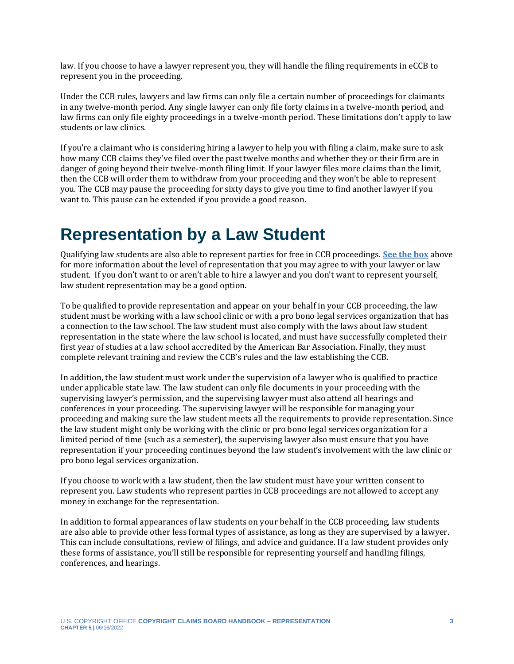law. If you choose to have a lawyer represent you, they will handle the filing requirements in eCCB to represent you in the proceeding.

Under the CCB rules, lawyers and law firms can only file a certain number of proceedings for claimants in any twelve-month period. Any single lawyer can only file forty claims in a twelve-month period, and law firms can only file eighty proceedings in a twelve-month period. These limitations don't apply to law students or law clinics.

If you're a claimant who is considering hiring a lawyer to help you with filing a claim, make sure to ask how many CCB claims they've filed over the past twelve months and whether they or their firm are in danger of going beyond their twelve-month filing limit. If your lawyer files more claims than the limit, then the CCB will order them to withdraw from your proceeding and they won't be able to represent you. The CCB may pause the proceeding for sixty days to give you time to find another lawyer if you want to. This pause can be extended if you provide a good reason.

### <span id="page-2-0"></span>**Representation by a Law Student**

Qualifying law students are also able to represent parties for free in CCB proceedings. **[See the box](#page-1-2)** above for more information about the level of representation that you may agree to with your lawyer or law student. If you don't want to or aren't able to hire a lawyer and you don't want to represent yourself, law student representation may be a good option.

To be qualified to provide representation and appear on your behalf in your CCB proceeding, the law student must be working with a law school clinic or with a pro bono legal services organization that has a connection to the law school. The law student must also comply with the laws about law student representation in the state where the law school is located, and must have successfully completed their first year of studies at a law school accredited by the American Bar Association. Finally, they must complete relevant training and review the CCB's rules and the law establishing the CCB.

In addition, the law student must work under the supervision of a lawyer who is qualified to practice under applicable state law. The law student can only file documents in your proceeding with the supervising lawyer's permission, and the supervising lawyer must also attend all hearings and conferences in your proceeding. The supervising lawyer will be responsible for managing your proceeding and making sure the law student meets all the requirements to provide representation. Since the law student might only be working with the clinic or pro bono legal services organization for a limited period of time (such as a semester), the supervising lawyer also must ensure that you have representation if your proceeding continues beyond the law student's involvement with the law clinic or pro bono legal services organization.

If you choose to work with a law student, then the law student must have your written consent to represent you. Law students who represent parties in CCB proceedings are not allowed to accept any money in exchange for the representation.

In addition to formal appearances of law students on your behalf in the CCB proceeding, law students are also able to provide other less formal types of assistance, as long as they are supervised by a lawyer. This can include consultations, review of filings, and advice and guidance. If a law student provides only these forms of assistance, you'll still be responsible for representing yourself and handling filings, conferences, and hearings.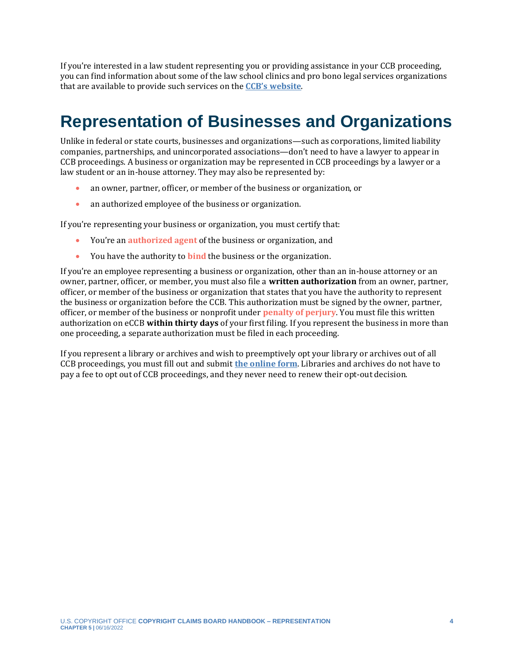If you're interested in a law student representing you or providing assistance in your CCB proceeding, you can find information about some of the law school clinics and pro bono legal services organizations that are available to provide such services on the **[CCB's website](https://ccb.gov/pro-bono-assistance/)**.

## <span id="page-3-0"></span>**Representation of Businesses and Organizations**

Unlike in federal or state courts, businesses and organizations—such as corporations, limited liability companies, partnerships, and unincorporated associations—don't need to have a lawyer to appear in CCB proceedings. A business or organization may be represented in CCB proceedings by a lawyer or a law student or an in-house attorney. They may also be represented by:

- an owner, partner, officer, or member of the business or organization, or
- an authorized employee of the business or organization.

If you're representing your business or organization, you must certify that:

- <span id="page-3-2"></span>• You're an **[authorized agent](#page-3-1)** of the business or organization, and
- <span id="page-3-4"></span><span id="page-3-3"></span>• You have the authority to **[bind](#page-4-0)** the business or the organization.

If you're an employee representing a business or organization, other than an in-house attorney or an owner, partner, officer, or member, you must also file a **written authorization** from an owner, partner, officer, or member of the business or organization that states that you have the authority to represent the business or organization before the CCB. This authorization must be signed by the owner, partner, officer, or member of the business or nonprofit under **[penalty of perjury](#page-3-1)**. You must file this written authorization on eCCB **within thirty days** of your first filing. If you represent the business in more than one proceeding, a separate authorization must be filed in each proceeding.

<span id="page-3-1"></span>If you represent a library or archives and wish to preemptively opt your library or archives out of all CCB proceedings, you must fill out and submit **the [online](https://ccb.gov/libraries-archives-opt-out/) form**. Libraries and archives do not have to pay a fee to opt out of CCB proceedings, and they never need to renew their opt-out decision.